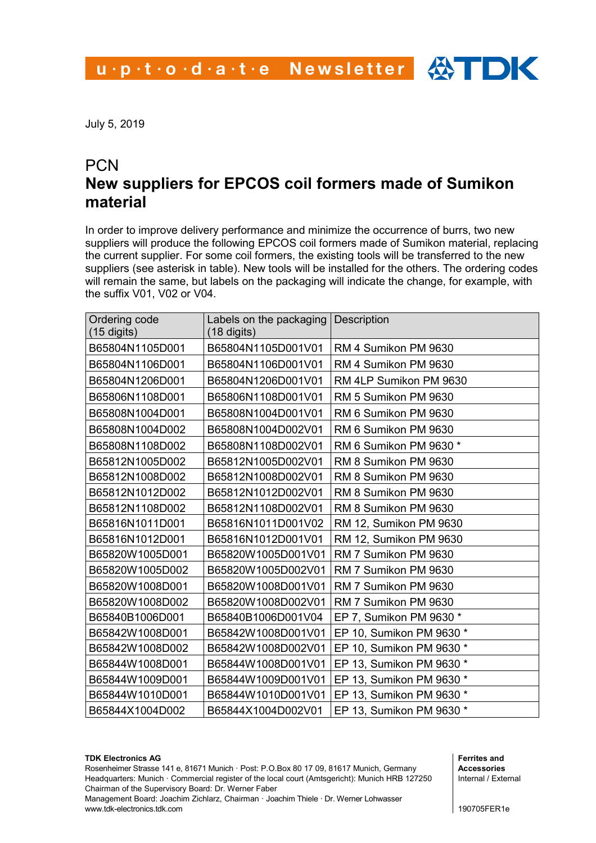July 5, 2019

## **PCN New suppliers for EPCOS coil formers made of Sumikon material**

In order to improve delivery performance and minimize the occurrence of burrs, two new suppliers will produce the following EPCOS coil formers made of Sumikon material, replacing the current supplier. For some coil formers, the existing tools will be transferred to the new suppliers (see asterisk in table). New tools will be installed for the others. The ordering codes will remain the same, but labels on the packaging will indicate the change, for example, with the suffix V01, V02 or V04.

| Ordering code<br>(15 digits) | Labels on the packaging<br>$(18 \text{ digits})$ | <b>Description</b>       |
|------------------------------|--------------------------------------------------|--------------------------|
| B65804N1105D001              | B65804N1105D001V01                               | RM 4 Sumikon PM 9630     |
| B65804N1106D001              | B65804N1106D001V01                               | RM 4 Sumikon PM 9630     |
| B65804N1206D001              | B65804N1206D001V01                               | RM 4LP Sumikon PM 9630   |
| B65806N1108D001              | B65806N1108D001V01                               | RM 5 Sumikon PM 9630     |
| B65808N1004D001              | B65808N1004D001V01                               | RM 6 Sumikon PM 9630     |
| B65808N1004D002              | B65808N1004D002V01                               | RM 6 Sumikon PM 9630     |
| B65808N1108D002              | B65808N1108D002V01                               | RM 6 Sumikon PM 9630 *   |
| B65812N1005D002              | B65812N1005D002V01                               | RM 8 Sumikon PM 9630     |
| B65812N1008D002              | B65812N1008D002V01                               | RM 8 Sumikon PM 9630     |
| B65812N1012D002              | B65812N1012D002V01                               | RM 8 Sumikon PM 9630     |
| B65812N1108D002              | B65812N1108D002V01                               | RM 8 Sumikon PM 9630     |
| B65816N1011D001              | B65816N1011D001V02                               | RM 12, Sumikon PM 9630   |
| B65816N1012D001              | B65816N1012D001V01                               | RM 12, Sumikon PM 9630   |
| B65820W1005D001              | B65820W1005D001V01                               | RM 7 Sumikon PM 9630     |
| B65820W1005D002              | B65820W1005D002V01                               | RM 7 Sumikon PM 9630     |
| B65820W1008D001              | B65820W1008D001V01                               | RM 7 Sumikon PM 9630     |
| B65820W1008D002              | B65820W1008D002V01                               | RM 7 Sumikon PM 9630     |
| B65840B1006D001              | B65840B1006D001V04                               | EP 7, Sumikon PM 9630 *  |
| B65842W1008D001              | B65842W1008D001V01                               | EP 10, Sumikon PM 9630 * |
| B65842W1008D002              | B65842W1008D002V01                               | EP 10, Sumikon PM 9630 * |
| B65844W1008D001              | B65844W1008D001V01                               | EP 13, Sumikon PM 9630 * |
| B65844W1009D001              | B65844W1009D001V01                               | EP 13, Sumikon PM 9630 * |
| B65844W1010D001              | B65844W1010D001V01                               | EP 13, Sumikon PM 9630 * |
| B65844X1004D002              | B65844X1004D002V01                               | EP 13, Sumikon PM 9630 * |

## **TDK Electronics AG**

Rosenheimer Strasse 141 e, 81671 Munich · Post: P.O.Box 80 17 09, 81617 Munich, Germany Headquarters: Munich · Commercial register of the local court (Amtsgericht): Munich HRB 127250 Chairman of the Supervisory Board: Dr. Werner Faber

Management Board: Joachim Zichlarz, Chairman · Joachim Thiele · Dr. Werner Lohwasser www.tdk-electronics.tdk.com

**Ferrites and Accessories** Internal / External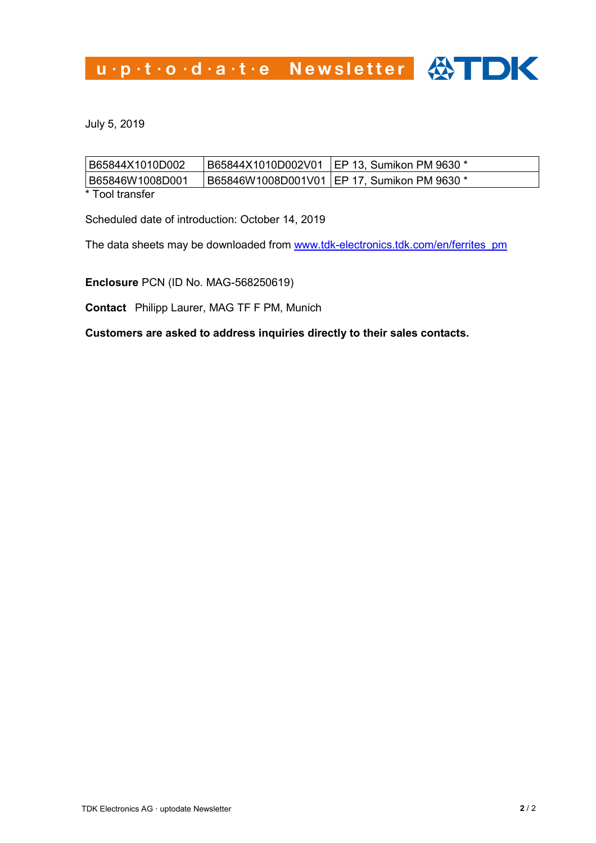u.p.t.o.d.a.t.e Newsletter <>>>

July 5, 2019

| B65844X1010D002   |                                               |
|-------------------|-----------------------------------------------|
| B65846W1008D001   | 1865846W1008D001V01 IEP 17, Sumikon PM 9630 * |
| $*$ Tool tranefor |                                               |

Tool transfer

Scheduled date of introduction: October 14, 2019

The data sheets may be downloaded from [www.tdk-electronics.tdk.com/en/ferrites\\_pm](http://www.tdk-electronics.tdk.com/en/ferrites_pm)

**Enclosure** PCN (ID No. MAG-568250619)

**Contact** Philipp Laurer, MAG TF F PM, Munich

**Customers are asked to address inquiries directly to their sales contacts.**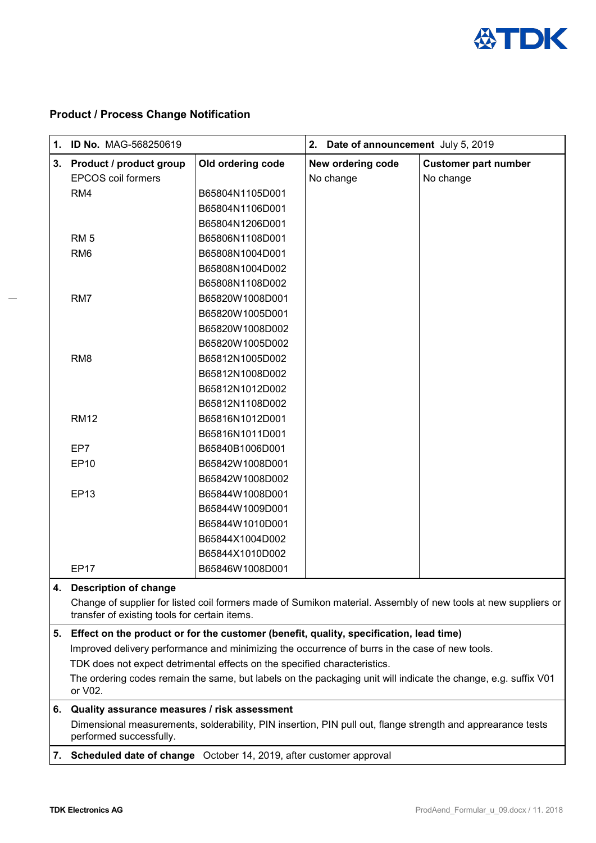

## **Product / Process Change Notification**

Ĭ.

| 1. | <b>ID No. MAG-568250619</b>                                                                                                                                                                            |                                                                                                             | 2.<br>Date of announcement July 5, 2019 |                             |
|----|--------------------------------------------------------------------------------------------------------------------------------------------------------------------------------------------------------|-------------------------------------------------------------------------------------------------------------|-----------------------------------------|-----------------------------|
| 3. | <b>Product / product group</b>                                                                                                                                                                         | Old ordering code                                                                                           | New ordering code                       | <b>Customer part number</b> |
|    | <b>EPCOS coil formers</b>                                                                                                                                                                              |                                                                                                             | No change                               | No change                   |
|    | RM4                                                                                                                                                                                                    | B65804N1105D001                                                                                             |                                         |                             |
|    |                                                                                                                                                                                                        | B65804N1106D001                                                                                             |                                         |                             |
|    |                                                                                                                                                                                                        | B65804N1206D001                                                                                             |                                         |                             |
|    | RM <sub>5</sub>                                                                                                                                                                                        | B65806N1108D001                                                                                             |                                         |                             |
|    | RM <sub>6</sub>                                                                                                                                                                                        | B65808N1004D001                                                                                             |                                         |                             |
|    |                                                                                                                                                                                                        | B65808N1004D002                                                                                             |                                         |                             |
|    |                                                                                                                                                                                                        | B65808N1108D002                                                                                             |                                         |                             |
|    | RM7                                                                                                                                                                                                    | B65820W1008D001                                                                                             |                                         |                             |
|    |                                                                                                                                                                                                        | B65820W1005D001                                                                                             |                                         |                             |
|    |                                                                                                                                                                                                        | B65820W1008D002                                                                                             |                                         |                             |
|    |                                                                                                                                                                                                        | B65820W1005D002                                                                                             |                                         |                             |
|    | RM <sub>8</sub>                                                                                                                                                                                        | B65812N1005D002                                                                                             |                                         |                             |
|    |                                                                                                                                                                                                        | B65812N1008D002                                                                                             |                                         |                             |
|    |                                                                                                                                                                                                        | B65812N1012D002                                                                                             |                                         |                             |
|    |                                                                                                                                                                                                        | B65812N1108D002                                                                                             |                                         |                             |
|    | <b>RM12</b>                                                                                                                                                                                            | B65816N1012D001                                                                                             |                                         |                             |
|    |                                                                                                                                                                                                        | B65816N1011D001                                                                                             |                                         |                             |
|    | EP7                                                                                                                                                                                                    | B65840B1006D001                                                                                             |                                         |                             |
|    | <b>EP10</b>                                                                                                                                                                                            | B65842W1008D001                                                                                             |                                         |                             |
|    |                                                                                                                                                                                                        | B65842W1008D002                                                                                             |                                         |                             |
|    | <b>EP13</b>                                                                                                                                                                                            | B65844W1008D001                                                                                             |                                         |                             |
|    |                                                                                                                                                                                                        | B65844W1009D001                                                                                             |                                         |                             |
|    |                                                                                                                                                                                                        | B65844W1010D001                                                                                             |                                         |                             |
|    |                                                                                                                                                                                                        | B65844X1004D002                                                                                             |                                         |                             |
|    |                                                                                                                                                                                                        | B65844X1010D002                                                                                             |                                         |                             |
|    | <b>EP17</b>                                                                                                                                                                                            | B65846W1008D001                                                                                             |                                         |                             |
| 4. | <b>Description of change</b>                                                                                                                                                                           |                                                                                                             |                                         |                             |
|    | Change of supplier for listed coil formers made of Sumikon material. Assembly of new tools at new suppliers or<br>transfer of existing tools for certain items.                                        |                                                                                                             |                                         |                             |
| 5. | Effect on the product or for the customer (benefit, quality, specification, lead time)                                                                                                                 |                                                                                                             |                                         |                             |
|    | Improved delivery performance and minimizing the occurrence of burrs in the case of new tools.                                                                                                         |                                                                                                             |                                         |                             |
|    | TDK does not expect detrimental effects on the specified characteristics.<br>The ordering codes remain the same, but labels on the packaging unit will indicate the change, e.g. suffix V01<br>or V02. |                                                                                                             |                                         |                             |
|    |                                                                                                                                                                                                        |                                                                                                             |                                         |                             |
| 6. | Quality assurance measures / risk assessment                                                                                                                                                           |                                                                                                             |                                         |                             |
|    | performed successfully.                                                                                                                                                                                | Dimensional measurements, solderability, PIN insertion, PIN pull out, flange strength and apprearance tests |                                         |                             |
| 7. | Scheduled date of change October 14, 2019, after customer approval                                                                                                                                     |                                                                                                             |                                         |                             |